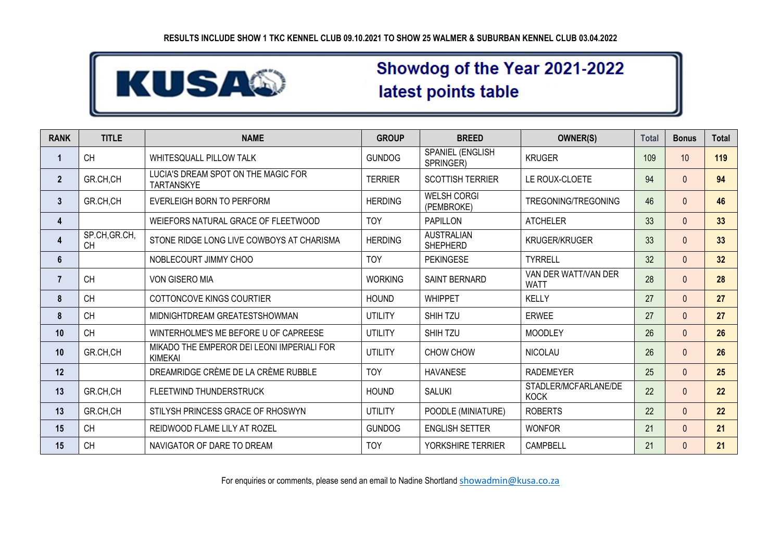

# Showdog of the Year 2021-2022 latest points table

| <b>RANK</b>    | <b>TITLE</b>               | <b>NAME</b>                                                  | <b>GROUP</b>   | <b>BREED</b>                         | <b>OWNER(S)</b>                     | <b>Total</b> | <b>Bonus</b> | Total |
|----------------|----------------------------|--------------------------------------------------------------|----------------|--------------------------------------|-------------------------------------|--------------|--------------|-------|
| 1              | <b>CH</b>                  | WHITESQUALL PILLOW TALK                                      | <b>GUNDOG</b>  | SPANIEL (ENGLISH<br>SPRINGER)        | <b>KRUGER</b>                       | 109          | 10           | 119   |
| $\overline{2}$ | GR.CH.CH                   | LUCIA'S DREAM SPOT ON THE MAGIC FOR<br><b>TARTANSKYE</b>     | <b>TERRIER</b> | <b>SCOTTISH TERRIER</b>              | LE ROUX-CLOETE                      | 94           | $\Omega$     | 94    |
| 3 <sup>2</sup> | GR.CH,CH                   | EVERLEIGH BORN TO PERFORM                                    | <b>HERDING</b> | <b>WELSH CORGI</b><br>(PEMBROKE)     | TREGONING/TREGONING                 | 46           | $\Omega$     | 46    |
| 4              |                            | WEIEFORS NATURAL GRACE OF FLEETWOOD                          | <b>TOY</b>     | <b>PAPILLON</b>                      | <b>ATCHELER</b>                     | 33           | $\Omega$     | 33    |
| 4              | SP.CH, GR.CH,<br><b>CH</b> | STONE RIDGE LONG LIVE COWBOYS AT CHARISMA                    | <b>HERDING</b> | <b>AUSTRALIAN</b><br><b>SHEPHERD</b> | <b>KRUGER/KRUGER</b>                | 33           | $\Omega$     | 33    |
| 6              |                            | NOBLECOURT JIMMY CHOO                                        | <b>TOY</b>     | <b>PEKINGESE</b>                     | <b>TYRRELL</b>                      | 32           | $\Omega$     | 32    |
| $\overline{7}$ | <b>CH</b>                  | VON GISERO MIA                                               | <b>WORKING</b> | <b>SAINT BERNARD</b>                 | VAN DER WATT/VAN DER<br><b>WATT</b> | 28           | $\Omega$     | 28    |
| 8              | <b>CH</b>                  | COTTONCOVE KINGS COURTIER                                    | <b>HOUND</b>   | <b>WHIPPET</b>                       | <b>KELLY</b>                        | 27           | $\Omega$     | 27    |
| 8              | <b>CH</b>                  | MIDNIGHTDREAM GREATESTSHOWMAN                                | <b>UTILITY</b> | <b>SHIH TZU</b>                      | <b>ERWEE</b>                        | 27           | $\Omega$     | 27    |
| 10             | <b>CH</b>                  | WINTERHOLME'S ME BEFORE U OF CAPREESE                        | <b>UTILITY</b> | <b>SHIH TZU</b>                      | <b>MOODLEY</b>                      | 26           | $\Omega$     | 26    |
| 10             | GR.CH.CH                   | MIKADO THE EMPEROR DEI LEONI IMPERIALI FOR<br><b>KIMEKAI</b> | UTILITY        | CHOW CHOW                            | <b>NICOLAU</b>                      | 26           | $\Omega$     | 26    |
| 12             |                            | DREAMRIDGE CRÈME DE LA CRÈME RUBBLE                          | <b>TOY</b>     | <b>HAVANESE</b>                      | <b>RADEMEYER</b>                    | 25           | $\Omega$     | 25    |
| 13             | GR.CH,CH                   | FLEETWIND THUNDERSTRUCK                                      | <b>HOUND</b>   | <b>SALUKI</b>                        | STADLER/MCFARLANE/DE<br><b>KOCK</b> | 22           | $\Omega$     | 22    |
| 13             | GR.CH,CH                   | STILYSH PRINCESS GRACE OF RHOSWYN                            | <b>UTILITY</b> | POODLE (MINIATURE)                   | <b>ROBERTS</b>                      | 22           | $\Omega$     | 22    |
| 15             | <b>CH</b>                  | REIDWOOD FLAME LILY AT ROZEL                                 | <b>GUNDOG</b>  | <b>ENGLISH SETTER</b>                | <b>WONFOR</b>                       | 21           | $\Omega$     | 21    |
| 15             | <b>CH</b>                  | NAVIGATOR OF DARE TO DREAM                                   | <b>TOY</b>     | YORKSHIRE TERRIER                    | <b>CAMPBELL</b>                     | 21           | $\Omega$     | 21    |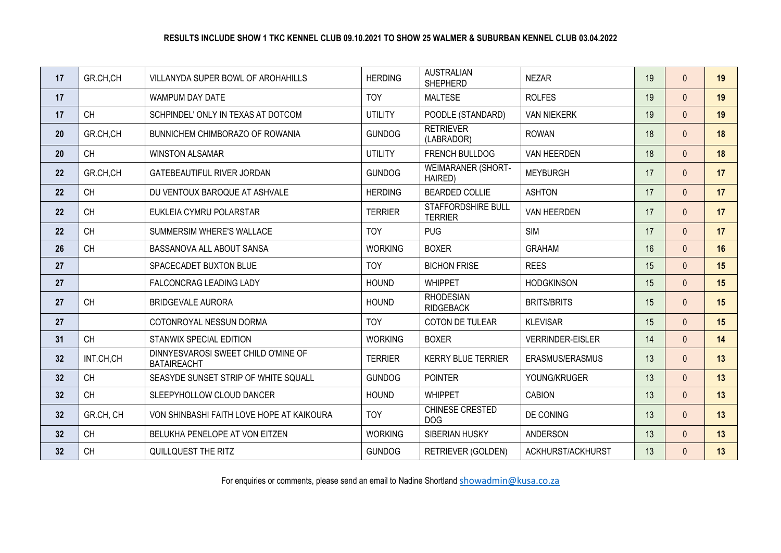| 17 | GR.CH,CH  | VILLANYDA SUPER BOWL OF AROHAHILLS                        | <b>HERDING</b> | <b>AUSTRALIAN</b><br><b>SHEPHERD</b> | <b>NEZAR</b>            | 19 | $\Omega$       | 19 |
|----|-----------|-----------------------------------------------------------|----------------|--------------------------------------|-------------------------|----|----------------|----|
| 17 |           | WAMPUM DAY DATE                                           | <b>TOY</b>     | <b>MALTESE</b>                       | <b>ROLFES</b>           | 19 | $\Omega$       | 19 |
| 17 | <b>CH</b> | SCHPINDEL' ONLY IN TEXAS AT DOTCOM                        | <b>UTILITY</b> | POODLE (STANDARD)                    | <b>VAN NIEKERK</b>      | 19 | $\Omega$       | 19 |
| 20 | GR.CH,CH  | BUNNICHEM CHIMBORAZO OF ROWANIA                           | <b>GUNDOG</b>  | <b>RETRIEVER</b><br>(LABRADOR)       | <b>ROWAN</b>            | 18 | $\Omega$       | 18 |
| 20 | <b>CH</b> | <b>WINSTON ALSAMAR</b>                                    | <b>UTILITY</b> | <b>FRENCH BULLDOG</b>                | VAN HEERDEN             | 18 | $\Omega$       | 18 |
| 22 | GR.CH.CH  | <b>GATEBEAUTIFUL RIVER JORDAN</b>                         | <b>GUNDOG</b>  | <b>WEIMARANER (SHORT-</b><br>HAIRED) | <b>MEYBURGH</b>         | 17 | $\Omega$       | 17 |
| 22 | <b>CH</b> | DU VENTOUX BAROQUE AT ASHVALE                             | <b>HERDING</b> | <b>BEARDED COLLIE</b>                | <b>ASHTON</b>           | 17 | $\Omega$       | 17 |
| 22 | <b>CH</b> | EUKLEIA CYMRU POLARSTAR                                   | <b>TERRIER</b> | STAFFORDSHIRE BULL<br><b>TERRIER</b> | VAN HEERDEN             | 17 | $\Omega$       | 17 |
| 22 | <b>CH</b> | SUMMERSIM WHERE'S WALLACE                                 | <b>TOY</b>     | <b>PUG</b>                           | <b>SIM</b>              | 17 | $\Omega$       | 17 |
| 26 | <b>CH</b> | BASSANOVA ALL ABOUT SANSA                                 | <b>WORKING</b> | <b>BOXER</b>                         | <b>GRAHAM</b>           | 16 | $\Omega$       | 16 |
| 27 |           | SPACECADET BUXTON BLUE                                    | <b>TOY</b>     | <b>BICHON FRISE</b>                  | <b>REES</b>             | 15 | $\Omega$       | 15 |
| 27 |           | FALCONCRAG LEADING LADY                                   | <b>HOUND</b>   | <b>WHIPPET</b>                       | <b>HODGKINSON</b>       | 15 | $\Omega$       | 15 |
| 27 | <b>CH</b> | <b>BRIDGEVALE AURORA</b>                                  | <b>HOUND</b>   | <b>RHODESIAN</b><br><b>RIDGEBACK</b> | <b>BRITS/BRITS</b>      | 15 | $\Omega$       | 15 |
| 27 |           | COTONROYAL NESSUN DORMA                                   | <b>TOY</b>     | COTON DE TULEAR                      | <b>KLEVISAR</b>         | 15 | $\Omega$       | 15 |
| 31 | <b>CH</b> | STANWIX SPECIAL EDITION                                   | <b>WORKING</b> | <b>BOXER</b>                         | <b>VERRINDER-EISLER</b> | 14 | $\Omega$       | 14 |
| 32 | INT.CH,CH | DINNYESVAROSI SWEET CHILD O'MINE OF<br><b>BATAIREACHT</b> | <b>TERRIER</b> | <b>KERRY BLUE TERRIER</b>            | ERASMUS/ERASMUS         | 13 | $\Omega$       | 13 |
| 32 | <b>CH</b> | SEASYDE SUNSET STRIP OF WHITE SQUALL                      | <b>GUNDOG</b>  | <b>POINTER</b>                       | YOUNG/KRUGER            | 13 | $\Omega$       | 13 |
| 32 | <b>CH</b> | SLEEPYHOLLOW CLOUD DANCER                                 | <b>HOUND</b>   | <b>WHIPPET</b>                       | <b>CABION</b>           | 13 | $\Omega$       | 13 |
| 32 | GR.CH, CH | VON SHINBASHI FAITH LOVE HOPE AT KAIKOURA                 | <b>TOY</b>     | CHINESE CRESTED<br><b>DOG</b>        | DE CONING               | 13 | $\mathbf{0}$   | 13 |
| 32 | <b>CH</b> | BELUKHA PENELOPE AT VON EITZEN                            | <b>WORKING</b> | SIBERIAN HUSKY                       | <b>ANDERSON</b>         | 13 | $\overline{0}$ | 13 |
| 32 | <b>CH</b> | QUILLQUEST THE RITZ                                       | <b>GUNDOG</b>  | <b>RETRIEVER (GOLDEN)</b>            | ACKHURST/ACKHURST       | 13 | $\Omega$       | 13 |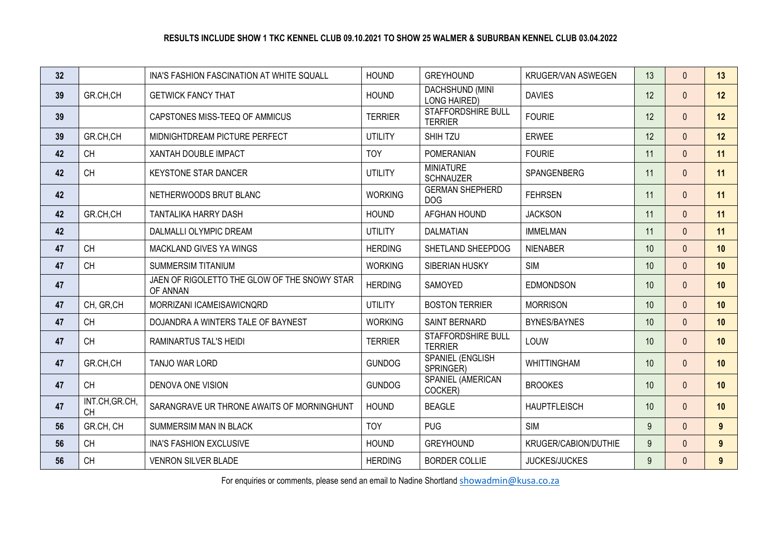| 32 <sup>2</sup> |                             | INA'S FASHION FASCINATION AT WHITE SQUALL                | <b>HOUND</b>   | <b>GREYHOUND</b>                            | <b>KRUGER/VAN ASWEGEN</b> | 13 | $\Omega$     | 13           |
|-----------------|-----------------------------|----------------------------------------------------------|----------------|---------------------------------------------|---------------------------|----|--------------|--------------|
| 39              | GR.CH,CH                    | <b>GETWICK FANCY THAT</b>                                | <b>HOUND</b>   | DACHSHUND (MINI<br><b>LONG HAIRED)</b>      | <b>DAVIES</b>             | 12 | $\Omega$     | 12           |
| 39              |                             | CAPSTONES MISS-TEEQ OF AMMICUS                           | <b>TERRIER</b> | <b>STAFFORDSHIRE BULL</b><br><b>TERRIER</b> | <b>FOURIE</b>             | 12 | $\Omega$     | 12           |
| 39              | GR.CH.CH                    | MIDNIGHTDREAM PICTURE PERFECT                            | <b>UTILITY</b> | SHIH TZU                                    | <b>ERWEE</b>              | 12 | $\Omega$     | 12           |
| 42              | <b>CH</b>                   | XANTAH DOUBLE IMPACT                                     | <b>TOY</b>     | <b>POMERANIAN</b>                           | <b>FOURIE</b>             | 11 | $\Omega$     | 11           |
| 42              | <b>CH</b>                   | <b>KEYSTONE STAR DANCER</b>                              | <b>UTILITY</b> | <b>MINIATURE</b><br><b>SCHNAUZER</b>        | SPANGENBERG               | 11 | $\Omega$     | 11           |
| 42              |                             | NETHERWOODS BRUT BLANC                                   | <b>WORKING</b> | <b>GERMAN SHEPHERD</b><br><b>DOG</b>        | <b>FEHRSEN</b>            | 11 | $\Omega$     | 11           |
| 42              | GR.CH.CH                    | TANTALIKA HARRY DASH                                     | <b>HOUND</b>   | AFGHAN HOUND                                | <b>JACKSON</b>            | 11 | $\Omega$     | 11           |
| 42              |                             | DALMALLI OLYMPIC DREAM                                   | <b>UTILITY</b> | <b>DALMATIAN</b>                            | <b>IMMELMAN</b>           | 11 | $\mathbf{0}$ | 11           |
| 47              | <b>CH</b>                   | MACKLAND GIVES YA WINGS                                  | <b>HERDING</b> | SHETLAND SHEEPDOG                           | <b>NIENABER</b>           | 10 | $\Omega$     | 10           |
| 47              | <b>CH</b>                   | <b>SUMMERSIM TITANIUM</b>                                | <b>WORKING</b> | <b>SIBERIAN HUSKY</b>                       | <b>SIM</b>                | 10 | $\Omega$     | 10           |
| 47              |                             | JAEN OF RIGOLETTO THE GLOW OF THE SNOWY STAR<br>OF ANNAN | <b>HERDING</b> | <b>SAMOYED</b>                              | <b>EDMONDSON</b>          | 10 | $\Omega$     | 10           |
| 47              | CH, GR, CH                  | MORRIZANI ICAMEISAWICNQRD                                | <b>UTILITY</b> | <b>BOSTON TERRIER</b>                       | <b>MORRISON</b>           | 10 | $\Omega$     | 10           |
| 47              | <b>CH</b>                   | DOJANDRA A WINTERS TALE OF BAYNEST                       | <b>WORKING</b> | SAINT BERNARD                               | <b>BYNES/BAYNES</b>       | 10 | $\Omega$     | 10           |
| 47              | <b>CH</b>                   | RAMINARTUS TAL'S HEIDI                                   | <b>TERRIER</b> | STAFFORDSHIRE BULL<br><b>TERRIER</b>        | LOUW                      | 10 | $\Omega$     | 10           |
| 47              | GR.CH,CH                    | TANJO WAR LORD                                           | <b>GUNDOG</b>  | SPANIEL (ENGLISH<br>SPRINGER)               | <b>WHITTINGHAM</b>        | 10 | $\Omega$     | 10           |
| 47              | <b>CH</b>                   | DENOVA ONE VISION                                        | <b>GUNDOG</b>  | SPANIEL (AMERICAN<br>COCKER)                | <b>BROOKES</b>            | 10 | $\Omega$     | 10           |
| 47              | INT.CH, GR.CH,<br><b>CH</b> | SARANGRAVE UR THRONE AWAITS OF MORNINGHUNT               | <b>HOUND</b>   | <b>BEAGLE</b>                               | <b>HAUPTFLEISCH</b>       | 10 | $\Omega$     | 10           |
| 56              | GR.CH, CH                   | SUMMERSIM MAN IN BLACK                                   | <b>TOY</b>     | <b>PUG</b>                                  | <b>SIM</b>                | 9  | $\Omega$     | $\mathbf{9}$ |
| 56              | CH                          | INA'S FASHION EXCLUSIVE                                  | <b>HOUND</b>   | <b>GREYHOUND</b>                            | KRUGER/CABION/DUTHIE      | 9  | $\mathbf{0}$ | 9            |
| 56              | <b>CH</b>                   | <b>VENRON SILVER BLADE</b>                               | <b>HERDING</b> | <b>BORDER COLLIE</b>                        | <b>JUCKES/JUCKES</b>      | 9  | $\Omega$     | $9^{\circ}$  |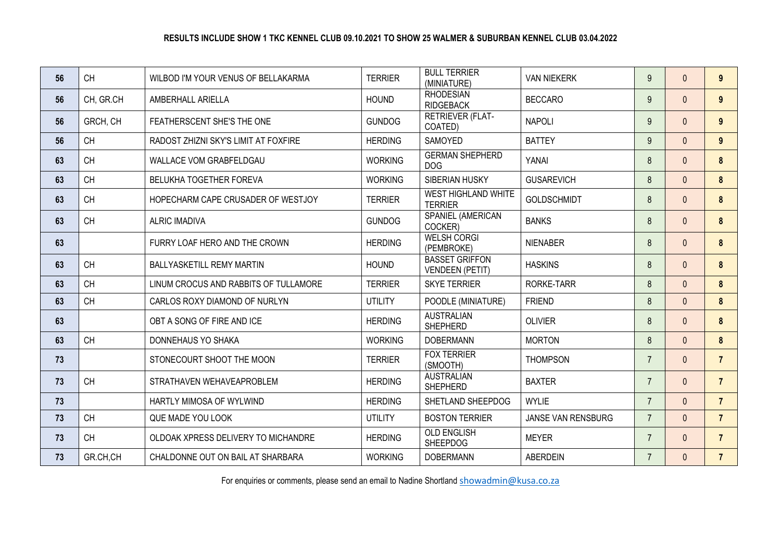| 56 | <b>CH</b> | WILBOD I'M YOUR VENUS OF BELLAKARMA   | <b>TERRIER</b> | <b>BULL TERRIER</b><br>(MINIATURE)              | <b>VAN NIEKERK</b> | 9              | $\Omega$     | $9^{\circ}$    |
|----|-----------|---------------------------------------|----------------|-------------------------------------------------|--------------------|----------------|--------------|----------------|
| 56 | CH, GR.CH | AMBERHALL ARIELLA                     | <b>HOUND</b>   | <b>RHODESIAN</b><br><b>RIDGEBACK</b>            | <b>BECCARO</b>     | 9              | $\Omega$     | 9              |
| 56 | GRCH, CH  | FEATHERSCENT SHE'S THE ONE            | <b>GUNDOG</b>  | <b>RETRIEVER (FLAT-</b><br>COATED)              | <b>NAPOLI</b>      | 9              | $\Omega$     | $9^{\circ}$    |
| 56 | <b>CH</b> | RADOST ZHIZNI SKY'S LIMIT AT FOXFIRE  | <b>HERDING</b> | SAMOYED                                         | <b>BATTEY</b>      | 9              | $\Omega$     | 9              |
| 63 | <b>CH</b> | WALLACE VOM GRABFELDGAU               | <b>WORKING</b> | <b>GERMAN SHEPHERD</b><br><b>DOG</b>            | YANAI              | 8              | $\Omega$     | 8              |
| 63 | <b>CH</b> | <b>BELUKHA TOGETHER FOREVA</b>        | <b>WORKING</b> | <b>SIBERIAN HUSKY</b>                           | <b>GUSAREVICH</b>  | 8              | $\Omega$     | 8              |
| 63 | <b>CH</b> | HOPECHARM CAPE CRUSADER OF WESTJOY    | <b>TERRIER</b> | WEST HIGHLAND WHITE<br><b>TERRIER</b>           | <b>GOLDSCHMIDT</b> | 8              | $\Omega$     | 8              |
| 63 | <b>CH</b> | <b>ALRIC IMADIVA</b>                  | <b>GUNDOG</b>  | SPANIEL (AMERICAN<br>COCKER)                    | <b>BANKS</b>       | 8              | $\Omega$     | 8              |
| 63 |           | FURRY LOAF HERO AND THE CROWN         | <b>HERDING</b> | <b>WELSH CORGI</b><br>(PEMBROKE)                | <b>NIENABER</b>    | 8              | $\Omega$     | 8              |
| 63 | <b>CH</b> | <b>BALLYASKETILL REMY MARTIN</b>      | <b>HOUND</b>   | <b>BASSET GRIFFON</b><br><b>VENDEEN (PETIT)</b> | <b>HASKINS</b>     | 8              | $\Omega$     | 8              |
| 63 | <b>CH</b> | LINUM CROCUS AND RABBITS OF TULLAMORE | <b>TERRIER</b> | <b>SKYE TERRIER</b>                             | <b>RORKE-TARR</b>  | 8              | $\Omega$     | 8              |
| 63 | <b>CH</b> | CARLOS ROXY DIAMOND OF NURLYN         | <b>UTILITY</b> | POODLE (MINIATURE)                              | <b>FRIEND</b>      | 8              | $\mathbf{0}$ | 8              |
| 63 |           | OBT A SONG OF FIRE AND ICE            | <b>HERDING</b> | <b>AUSTRALIAN</b><br><b>SHEPHERD</b>            | <b>OLIVIER</b>     | 8              | $\Omega$     | 8              |
| 63 | <b>CH</b> | DONNEHAUS YO SHAKA                    | <b>WORKING</b> | <b>DOBERMANN</b>                                | <b>MORTON</b>      | 8              | $\Omega$     | 8              |
| 73 |           | STONECOURT SHOOT THE MOON             | <b>TERRIER</b> | <b>FOX TERRIER</b><br>(SMOOTH)                  | <b>THOMPSON</b>    | $\overline{7}$ | $\Omega$     | $\overline{7}$ |
| 73 | <b>CH</b> | STRATHAVEN WEHAVEAPROBLEM             | <b>HERDING</b> | <b>AUSTRALIAN</b><br><b>SHEPHERD</b>            | <b>BAXTER</b>      | $\overline{7}$ | $\Omega$     | $\overline{7}$ |
| 73 |           | HARTLY MIMOSA OF WYLWIND              | <b>HERDING</b> | SHETLAND SHEEPDOG                               | <b>WYLIE</b>       | $\overline{7}$ | $\mathbf{0}$ | $\overline{7}$ |
| 73 | <b>CH</b> | QUE MADE YOU LOOK                     | <b>UTILITY</b> | <b>BOSTON TERRIER</b>                           | JANSE VAN RENSBURG | $\overline{7}$ | $\Omega$     | $\overline{7}$ |
| 73 | <b>CH</b> | OLDOAK XPRESS DELIVERY TO MICHANDRE   | <b>HERDING</b> | <b>OLD ENGLISH</b><br><b>SHEEPDOG</b>           | <b>MEYER</b>       | $\overline{7}$ | $\Omega$     | $\overline{7}$ |
| 73 | GR.CH,CH  | CHALDONNE OUT ON BAIL AT SHARBARA     | <b>WORKING</b> | <b>DOBERMANN</b>                                | <b>ABERDEIN</b>    | $\overline{7}$ | $\Omega$     | $\overline{7}$ |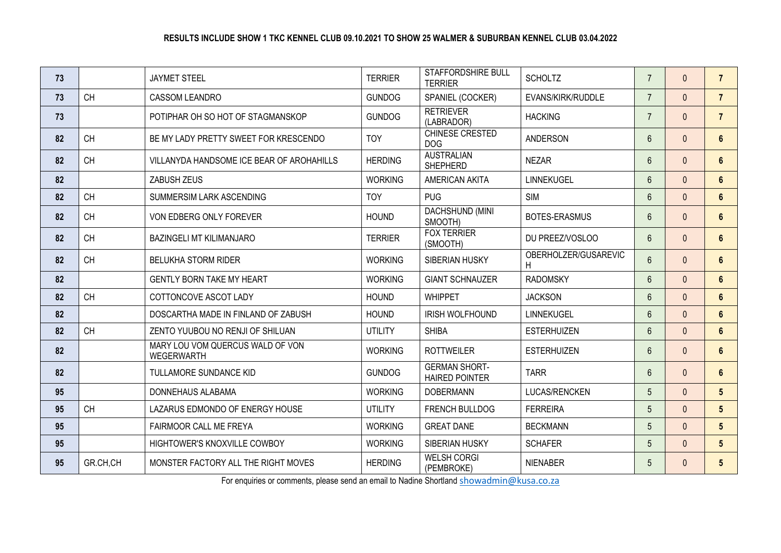| 73 |           | <b>JAYMET STEEL</b>                                   | <b>TERRIER</b> | <b>STAFFORDSHIRE BULL</b><br><b>TERRIER</b>   | <b>SCHOLTZ</b>            | $\overline{7}$  | $\mathbf{0}$   | $\overline{7}$  |
|----|-----------|-------------------------------------------------------|----------------|-----------------------------------------------|---------------------------|-----------------|----------------|-----------------|
| 73 | <b>CH</b> | <b>CASSOM LEANDRO</b>                                 | <b>GUNDOG</b>  | SPANIEL (COCKER)                              | EVANS/KIRK/RUDDLE         | $\overline{7}$  | $\Omega$       | $\overline{7}$  |
| 73 |           | POTIPHAR OH SO HOT OF STAGMANSKOP                     | <b>GUNDOG</b>  | <b>RETRIEVER</b><br>(LABRADOR)                | <b>HACKING</b>            | $\overline{7}$  | $\Omega$       | $\overline{7}$  |
| 82 | CH        | BE MY LADY PRETTY SWEET FOR KRESCENDO                 | <b>TOY</b>     | CHINESE CRESTED<br><b>DOG</b>                 | <b>ANDERSON</b>           | $6\phantom{1}$  | $\Omega$       | $6\phantom{1}$  |
| 82 | <b>CH</b> | VILLANYDA HANDSOME ICE BEAR OF AROHAHILLS             | <b>HERDING</b> | <b>AUSTRALIAN</b><br><b>SHEPHERD</b>          | <b>NEZAR</b>              | $6\phantom{1}$  | $\Omega$       | 6               |
| 82 |           | ZABUSH ZEUS                                           | <b>WORKING</b> | AMERICAN AKITA                                | LINNEKUGEL                | $6\phantom{1}$  | $\overline{0}$ | $6\phantom{a}$  |
| 82 | <b>CH</b> | SUMMERSIM LARK ASCENDING                              | <b>TOY</b>     | <b>PUG</b>                                    | <b>SIM</b>                | $6\overline{6}$ | $\mathbf{0}$   | $6\phantom{a}$  |
| 82 | <b>CH</b> | VON EDBERG ONLY FOREVER                               | <b>HOUND</b>   | DACHSHUND (MINI<br>SMOOTH)                    | BOTES-ERASMUS             | $6\phantom{1}$  | $\Omega$       | $6\phantom{1}$  |
| 82 | <b>CH</b> | <b>BAZINGELI MT KILIMANJARO</b>                       | <b>TERRIER</b> | <b>FOX TERRIER</b><br>(SMOOTH)                | DU PREEZ/VOSLOO           | $6\overline{6}$ | $\Omega$       | 6               |
| 82 | <b>CH</b> | <b>BELUKHA STORM RIDER</b>                            | <b>WORKING</b> | SIBERIAN HUSKY                                | OBERHOLZER/GUSAREVIC<br>H | $6\phantom{a}$  | $\Omega$       | $6\phantom{1}$  |
| 82 |           | <b>GENTLY BORN TAKE MY HEART</b>                      | <b>WORKING</b> | <b>GIANT SCHNAUZER</b>                        | <b>RADOMSKY</b>           | $6\phantom{a}$  | $\Omega$       | $6\phantom{1}$  |
| 82 | <b>CH</b> | COTTONCOVE ASCOT LADY                                 | <b>HOUND</b>   | <b>WHIPPET</b>                                | <b>JACKSON</b>            | $6\phantom{a}$  | $\Omega$       | $6\phantom{a}$  |
| 82 |           | DOSCARTHA MADE IN FINLAND OF ZABUSH                   | <b>HOUND</b>   | <b>IRISH WOLFHOUND</b>                        | LINNEKUGEL                | $6\phantom{a}$  | $\Omega$       | $6\phantom{1}$  |
| 82 | <b>CH</b> | ZENTO YUUBOU NO RENJI OF SHILUAN                      | <b>UTILITY</b> | <b>SHIBA</b>                                  | <b>ESTERHUIZEN</b>        | $6\phantom{a}$  | $\Omega$       | $6\phantom{1}$  |
| 82 |           | MARY LOU VOM QUERCUS WALD OF VON<br><b>WEGERWARTH</b> | <b>WORKING</b> | <b>ROTTWEILER</b>                             | <b>ESTERHUIZEN</b>        | $6\phantom{1}$  | $\Omega$       | 6               |
| 82 |           | <b>TULLAMORE SUNDANCE KID</b>                         | <b>GUNDOG</b>  | <b>GERMAN SHORT-</b><br><b>HAIRED POINTER</b> | <b>TARR</b>               | $6\phantom{a}$  | $\Omega$       | $6\phantom{1}$  |
| 95 |           | DONNEHAUS ALABAMA                                     | <b>WORKING</b> | <b>DOBERMANN</b>                              | LUCAS/RENCKEN             | 5 <sup>5</sup>  | $\Omega$       | $5\phantom{.0}$ |
| 95 | <b>CH</b> | LAZARUS EDMONDO OF ENERGY HOUSE                       | UTILITY        | <b>FRENCH BULLDOG</b>                         | <b>FERREIRA</b>           | 5               | $\Omega$       | $5\phantom{.0}$ |
| 95 |           | FAIRMOOR CALL ME FREYA                                | <b>WORKING</b> | <b>GREAT DANE</b>                             | <b>BECKMANN</b>           | 5               | $\Omega$       | 5 <sup>5</sup>  |
| 95 |           | HIGHTOWER'S KNOXVILLE COWBOY                          | <b>WORKING</b> | SIBERIAN HUSKY                                | <b>SCHAFER</b>            | $5\overline{)}$ | $\Omega$       | 5 <sup>5</sup>  |
| 95 | GR.CH,CH  | MONSTER FACTORY ALL THE RIGHT MOVES                   | <b>HERDING</b> | <b>WELSH CORGI</b><br>(PEMBROKE)              | <b>NIENABER</b>           | 5               | $\Omega$       | 5 <sup>5</sup>  |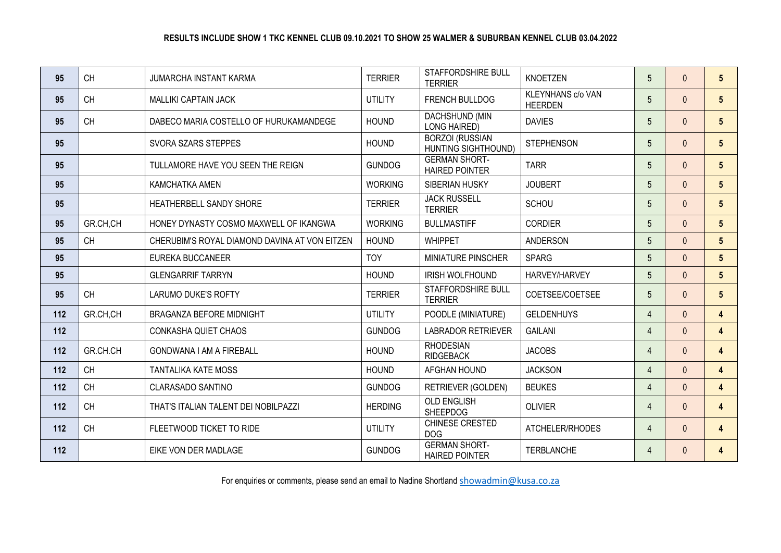| 95  | <b>CH</b> | <b>JUMARCHA INSTANT KARMA</b>                 | <b>TERRIER</b> | STAFFORDSHIRE BULL<br><b>TERRIER</b>          | <b>KNOETZEN</b>                     | $5\overline{)}$ | $\Omega$     | 5 <sup>5</sup>          |
|-----|-----------|-----------------------------------------------|----------------|-----------------------------------------------|-------------------------------------|-----------------|--------------|-------------------------|
| 95  | <b>CH</b> | <b>MALLIKI CAPTAIN JACK</b>                   | <b>UTILITY</b> | <b>FRENCH BULLDOG</b>                         | KLEYNHANS c/o VAN<br><b>HEERDEN</b> | $5\overline{)}$ | $\Omega$     | 5 <sup>5</sup>          |
| 95  | <b>CH</b> | DABECO MARIA COSTELLO OF HURUKAMANDEGE        | <b>HOUND</b>   | DACHSHUND (MIN<br><b>LONG HAIRED)</b>         | <b>DAVIES</b>                       | 5 <sup>5</sup>  | $\mathbf{0}$ | $5\overline{)}$         |
| 95  |           | SVORA SZARS STEPPES                           | <b>HOUND</b>   | <b>BORZOI (RUSSIAN</b><br>HUNTING SIGHTHOUND) | <b>STEPHENSON</b>                   | 5 <sup>5</sup>  | $\Omega$     | $5\phantom{.0}$         |
| 95  |           | TULLAMORE HAVE YOU SEEN THE REIGN             | <b>GUNDOG</b>  | <b>GERMAN SHORT-</b><br><b>HAIRED POINTER</b> | <b>TARR</b>                         | 5 <sup>5</sup>  | $\Omega$     | 5 <sup>5</sup>          |
| 95  |           | <b>KAMCHATKA AMEN</b>                         | <b>WORKING</b> | SIBERIAN HUSKY                                | <b>JOUBERT</b>                      | $5\overline{)}$ | $\Omega$     | 5 <sup>5</sup>          |
| 95  |           | HEATHERBELL SANDY SHORE                       | <b>TERRIER</b> | <b>JACK RUSSELL</b><br><b>TERRIER</b>         | <b>SCHOU</b>                        | $5\overline{)}$ | $\Omega$     | $5\phantom{.0}$         |
| 95  | GR.CH.CH  | HONEY DYNASTY COSMO MAXWELL OF IKANGWA        | <b>WORKING</b> | <b>BULLMASTIFF</b>                            | <b>CORDIER</b>                      | 5 <sup>5</sup>  | $\Omega$     | 5 <sup>5</sup>          |
| 95  | <b>CH</b> | CHERUBIM'S ROYAL DIAMOND DAVINA AT VON EITZEN | <b>HOUND</b>   | <b>WHIPPET</b>                                | <b>ANDERSON</b>                     | $5\overline{)}$ | $\Omega$     | 5 <sup>5</sup>          |
| 95  |           | EUREKA BUCCANEER                              | <b>TOY</b>     | MINIATURE PINSCHER                            | <b>SPARG</b>                        | 5 <sup>5</sup>  | $\Omega$     | 5 <sup>5</sup>          |
| 95  |           | <b>GLENGARRIF TARRYN</b>                      | <b>HOUND</b>   | <b>IRISH WOLFHOUND</b>                        | HARVEY/HARVEY                       | 5 <sup>5</sup>  | $\Omega$     | 5 <sup>5</sup>          |
| 95  | <b>CH</b> | <b>LARUMO DUKE'S ROFTY</b>                    | <b>TERRIER</b> | STAFFORDSHIRE BULL<br><b>TERRIER</b>          | COETSEE/COETSEE                     | 5 <sup>5</sup>  | $\Omega$     | 5 <sup>5</sup>          |
| 112 | GR.CH,CH  | <b>BRAGANZA BEFORE MIDNIGHT</b>               | UTILITY        | POODLE (MINIATURE)                            | <b>GELDENHUYS</b>                   | $\overline{4}$  | $\Omega$     | $\overline{4}$          |
| 112 |           | CONKASHA QUIET CHAOS                          | <b>GUNDOG</b>  | <b>LABRADOR RETRIEVER</b>                     | <b>GAILANI</b>                      | $\overline{4}$  | $\mathbf{0}$ | $\overline{4}$          |
| 112 | GR.CH.CH  | <b>GONDWANA I AM A FIREBALL</b>               | <b>HOUND</b>   | <b>RHODESIAN</b><br><b>RIDGEBACK</b>          | <b>JACOBS</b>                       | $\overline{4}$  | $\mathbf{0}$ | $\overline{4}$          |
| 112 | <b>CH</b> | <b>TANTALIKA KATE MOSS</b>                    | <b>HOUND</b>   | AFGHAN HOUND                                  | <b>JACKSON</b>                      | $\overline{4}$  | $\Omega$     | 4                       |
| 112 | <b>CH</b> | CLARASADO SANTINO                             | <b>GUNDOG</b>  | <b>RETRIEVER (GOLDEN)</b>                     | <b>BEUKES</b>                       | $\overline{4}$  | $\Omega$     | $\overline{4}$          |
| 112 | <b>CH</b> | THAT'S ITALIAN TALENT DEI NOBILPAZZI          | <b>HERDING</b> | <b>OLD ENGLISH</b><br><b>SHEEPDOG</b>         | <b>OLIVIER</b>                      | $\overline{4}$  | $\Omega$     | $\overline{4}$          |
| 112 | <b>CH</b> | FLEETWOOD TICKET TO RIDE                      | <b>UTILITY</b> | CHINESE CRESTED<br><b>DOG</b>                 | ATCHELER/RHODES                     | $\overline{4}$  | $\Omega$     | $\overline{4}$          |
| 112 |           | EIKE VON DER MADLAGE                          | <b>GUNDOG</b>  | <b>GERMAN SHORT-</b><br><b>HAIRED POINTER</b> | <b>TERBLANCHE</b>                   | 4               | $\mathbf{0}$ | $\overline{\mathbf{4}}$ |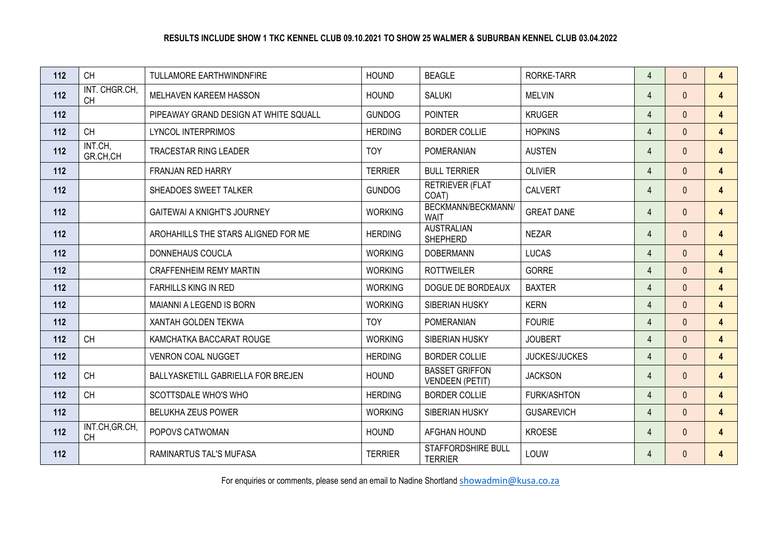| 112 | <b>CH</b>                   | TULLAMORE EARTHWINDNFIRE              | <b>HOUND</b>   | <b>BEAGLE</b>                                   | RORKE-TARR           | 4              | $\mathbf{0}$ | $\overline{4}$ |
|-----|-----------------------------|---------------------------------------|----------------|-------------------------------------------------|----------------------|----------------|--------------|----------------|
| 112 | INT. CHGR.CH,<br><b>CH</b>  | MELHAVEN KAREEM HASSON                | <b>HOUND</b>   | <b>SALUKI</b>                                   | <b>MELVIN</b>        | $\overline{4}$ | $\Omega$     | $\overline{4}$ |
| 112 |                             | PIPEAWAY GRAND DESIGN AT WHITE SQUALL | <b>GUNDOG</b>  | <b>POINTER</b>                                  | <b>KRUGER</b>        | $\overline{4}$ | $\Omega$     | $\overline{4}$ |
| 112 | <b>CH</b>                   | <b>LYNCOL INTERPRIMOS</b>             | <b>HERDING</b> | <b>BORDER COLLIE</b>                            | <b>HOPKINS</b>       | $\overline{4}$ | $\mathbf{0}$ | $\overline{4}$ |
| 112 | INT.CH,<br>GR.CH,CH         | <b>TRACESTAR RING LEADER</b>          | <b>TOY</b>     | <b>POMERANIAN</b>                               | <b>AUSTEN</b>        | $\overline{4}$ | $\mathbf{0}$ | $\overline{4}$ |
| 112 |                             | FRANJAN RED HARRY                     | <b>TERRIER</b> | <b>BULL TERRIER</b>                             | <b>OLIVIER</b>       | $\overline{4}$ | $\Omega$     | $\overline{4}$ |
| 112 |                             | SHEADOES SWEET TALKER                 | <b>GUNDOG</b>  | <b>RETRIEVER (FLAT</b><br>COAT)                 | <b>CALVERT</b>       | $\overline{4}$ | $\mathbf{0}$ | $\overline{4}$ |
| 112 |                             | <b>GAITEWAI A KNIGHT'S JOURNEY</b>    | <b>WORKING</b> | BECKMANN/BECKMANN/<br><b>WAIT</b>               | <b>GREAT DANE</b>    | 4              | $\Omega$     | $\overline{4}$ |
| 112 |                             | AROHAHILLS THE STARS ALIGNED FOR ME   | <b>HERDING</b> | <b>AUSTRALIAN</b><br><b>SHEPHERD</b>            | <b>NEZAR</b>         | 4              | $\Omega$     | $\overline{4}$ |
| 112 |                             | DONNEHAUS COUCLA                      | <b>WORKING</b> | <b>DOBERMANN</b>                                | <b>LUCAS</b>         | $\overline{4}$ | $\Omega$     | $\overline{4}$ |
| 112 |                             | <b>CRAFFENHEIM REMY MARTIN</b>        | <b>WORKING</b> | <b>ROTTWEILER</b>                               | <b>GORRE</b>         | $\overline{4}$ | $\mathbf{0}$ | $\overline{4}$ |
| 112 |                             | <b>FARHILLS KING IN RED</b>           | <b>WORKING</b> | DOGUE DE BORDEAUX                               | <b>BAXTER</b>        | $\overline{4}$ | $\Omega$     | $\overline{4}$ |
| 112 |                             | MAIANNI A LEGEND IS BORN              | <b>WORKING</b> | SIBERIAN HUSKY                                  | <b>KERN</b>          | $\overline{4}$ | $\Omega$     | $\overline{4}$ |
| 112 |                             | XANTAH GOLDEN TEKWA                   | <b>TOY</b>     | <b>POMERANIAN</b>                               | <b>FOURIE</b>        | $\overline{4}$ | $\Omega$     | $\overline{4}$ |
| 112 | CH                          | KAMCHATKA BACCARAT ROUGE              | <b>WORKING</b> | SIBERIAN HUSKY                                  | <b>JOUBERT</b>       | $\overline{4}$ | $\Omega$     | $\overline{4}$ |
| 112 |                             | <b>VENRON COAL NUGGET</b>             | <b>HERDING</b> | <b>BORDER COLLIE</b>                            | <b>JUCKES/JUCKES</b> | $\overline{4}$ | $\mathbf{0}$ | $\overline{4}$ |
| 112 | <b>CH</b>                   | BALLYASKETILL GABRIELLA FOR BREJEN    | <b>HOUND</b>   | <b>BASSET GRIFFON</b><br><b>VENDEEN (PETIT)</b> | <b>JACKSON</b>       | $\overline{4}$ | $\mathbf{0}$ | $\overline{4}$ |
| 112 | <b>CH</b>                   | SCOTTSDALE WHO'S WHO                  | <b>HERDING</b> | <b>BORDER COLLIE</b>                            | FURK/ASHTON          | $\overline{4}$ | $\Omega$     | $\overline{4}$ |
| 112 |                             | <b>BELUKHA ZEUS POWER</b>             | <b>WORKING</b> | SIBERIAN HUSKY                                  | <b>GUSAREVICH</b>    | 4              | $\mathbf{0}$ | $\overline{4}$ |
| 112 | INT.CH, GR.CH,<br><b>CH</b> | POPOVS CATWOMAN                       | <b>HOUND</b>   | AFGHAN HOUND                                    | <b>KROESE</b>        | $\overline{4}$ | $\Omega$     | $\overline{4}$ |
| 112 |                             | RAMINARTUS TAL'S MUFASA               | <b>TERRIER</b> | STAFFORDSHIRE BULL<br><b>TERRIER</b>            | LOUW                 | 4              | $\mathbf{0}$ | 4              |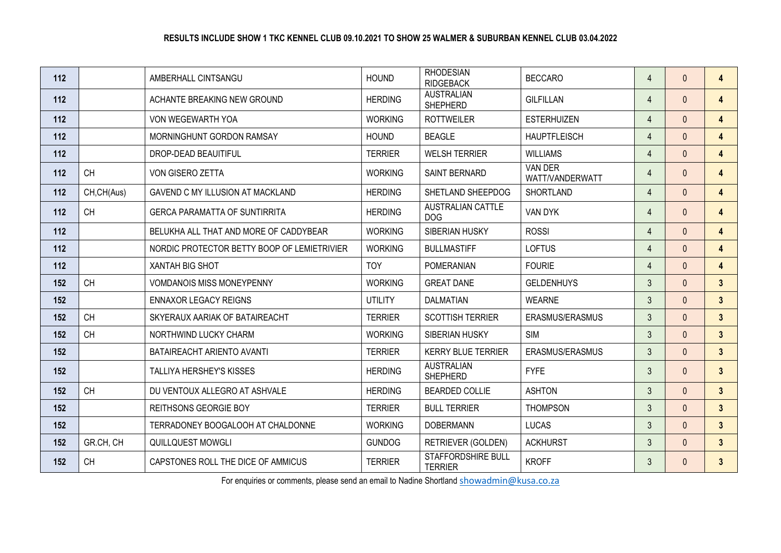| 112 |             | AMBERHALL CINTSANGU                         | <b>HOUND</b>   | <b>RHODESIAN</b><br><b>RIDGEBACK</b>        | <b>BECCARO</b>             | $\overline{4}$ | $\Omega$     | $\overline{4}$ |
|-----|-------------|---------------------------------------------|----------------|---------------------------------------------|----------------------------|----------------|--------------|----------------|
| 112 |             | ACHANTE BREAKING NEW GROUND                 | <b>HERDING</b> | <b>AUSTRALIAN</b><br><b>SHEPHERD</b>        | <b>GILFILLAN</b>           | $\overline{4}$ | $\mathbf{0}$ | $\overline{4}$ |
| 112 |             | VON WEGEWARTH YOA                           | <b>WORKING</b> | <b>ROTTWEILER</b>                           | <b>ESTERHUIZEN</b>         | $\overline{4}$ | $\Omega$     | $\overline{4}$ |
| 112 |             | MORNINGHUNT GORDON RAMSAY                   | <b>HOUND</b>   | <b>BEAGLE</b>                               | <b>HAUPTFLEISCH</b>        | $\overline{4}$ | $\Omega$     | $\overline{4}$ |
| 112 |             | DROP-DEAD BEAUITIFUL                        | <b>TERRIER</b> | <b>WELSH TERRIER</b>                        | <b>WILLIAMS</b>            | $\overline{4}$ | $\mathbf{0}$ | $\overline{4}$ |
| 112 | <b>CH</b>   | VON GISERO ZETTA                            | <b>WORKING</b> | SAINT BERNARD                               | VAN DER<br>WATT/VANDERWATT | 4              | $\Omega$     | $\overline{4}$ |
| 112 | CH, CH(Aus) | GAVEND C MY ILLUSION AT MACKLAND            | <b>HERDING</b> | SHETLAND SHEEPDOG                           | <b>SHORTLAND</b>           | $\overline{4}$ | $\Omega$     | $\overline{4}$ |
| 112 | <b>CH</b>   | <b>GERCA PARAMATTA OF SUNTIRRITA</b>        | <b>HERDING</b> | <b>AUSTRALIAN CATTLE</b><br><b>DOG</b>      | VAN DYK                    | 4              | $\Omega$     | $\overline{4}$ |
| 112 |             | BELUKHA ALL THAT AND MORE OF CADDYBEAR      | <b>WORKING</b> | SIBERIAN HUSKY                              | <b>ROSSI</b>               | $\overline{4}$ | $\Omega$     | $\overline{4}$ |
| 112 |             | NORDIC PROTECTOR BETTY BOOP OF LEMIETRIVIER | <b>WORKING</b> | <b>BULLMASTIFF</b>                          | <b>LOFTUS</b>              | $\overline{4}$ | $\Omega$     | $\overline{4}$ |
| 112 |             | <b>XANTAH BIG SHOT</b>                      | <b>TOY</b>     | <b>POMERANIAN</b>                           | <b>FOURIE</b>              | $\overline{4}$ | $\Omega$     | $\overline{4}$ |
| 152 | <b>CH</b>   | <b>VOMDANOIS MISS MONEYPENNY</b>            | <b>WORKING</b> | <b>GREAT DANE</b>                           | <b>GELDENHUYS</b>          | $\mathfrak{Z}$ | $\mathbf{0}$ | $\overline{3}$ |
| 152 |             | <b>ENNAXOR LEGACY REIGNS</b>                | <b>UTILITY</b> | <b>DALMATIAN</b>                            | <b>WEARNE</b>              | $\mathfrak{Z}$ | $\Omega$     | $\overline{3}$ |
| 152 | <b>CH</b>   | SKYERAUX AARIAK OF BATAIREACHT              | <b>TERRIER</b> | <b>SCOTTISH TERRIER</b>                     | ERASMUS/ERASMUS            | $\mathfrak{Z}$ | $\Omega$     | $\mathbf{3}$   |
| 152 | <b>CH</b>   | NORTHWIND LUCKY CHARM                       | <b>WORKING</b> | SIBERIAN HUSKY                              | <b>SIM</b>                 | $\mathfrak{Z}$ | $\Omega$     | $\mathbf{3}$   |
| 152 |             | BATAIREACHT ARIENTO AVANTI                  | <b>TERRIER</b> | <b>KERRY BLUE TERRIER</b>                   | ERASMUS/ERASMUS            | $\mathfrak{Z}$ | $\Omega$     | $\mathbf{3}$   |
| 152 |             | TALLIYA HERSHEY'S KISSES                    | <b>HERDING</b> | <b>AUSTRALIAN</b><br><b>SHEPHERD</b>        | <b>FYFE</b>                | $\mathfrak{Z}$ | $\Omega$     | $\mathbf{3}$   |
| 152 | <b>CH</b>   | DU VENTOUX ALLEGRO AT ASHVALE               | <b>HERDING</b> | <b>BEARDED COLLIE</b>                       | <b>ASHTON</b>              | $\mathfrak{Z}$ | $\Omega$     | 3 <sup>1</sup> |
| 152 |             | <b>REITHSONS GEORGIE BOY</b>                | <b>TERRIER</b> | <b>BULL TERRIER</b>                         | <b>THOMPSON</b>            | $\mathfrak{Z}$ | $\Omega$     | $\overline{3}$ |
| 152 |             | TERRADONEY BOOGALOOH AT CHALDONNE           | <b>WORKING</b> | <b>DOBERMANN</b>                            | <b>LUCAS</b>               | $\mathfrak{Z}$ | $\Omega$     | $\mathbf{3}$   |
| 152 | GR.CH, CH   | QUILLQUEST MOWGLI                           | <b>GUNDOG</b>  | RETRIEVER (GOLDEN)                          | <b>ACKHURST</b>            | $\mathfrak{Z}$ | $\Omega$     | $\mathbf{3}$   |
| 152 | <b>CH</b>   | CAPSTONES ROLL THE DICE OF AMMICUS          | <b>TERRIER</b> | <b>STAFFORDSHIRE BULL</b><br><b>TERRIER</b> | <b>KROFF</b>               | 3              | $\Omega$     | $\mathbf{3}$   |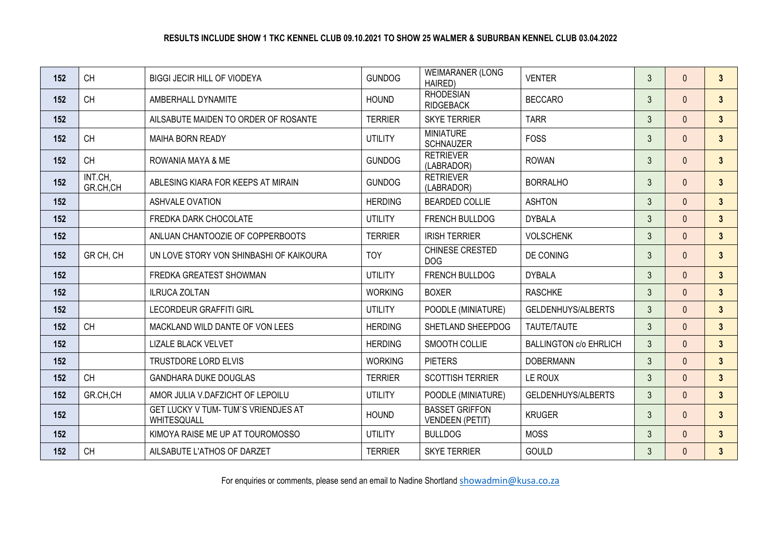| 152 | <b>CH</b>           | <b>BIGGI JECIR HILL OF VIODEYA</b>                        | <b>GUNDOG</b>  | <b>WEIMARANER (LONG</b><br>HAIRED)              | <b>VENTER</b>                 | $\mathfrak{Z}$ | $\Omega$     | $\mathbf{3}$   |
|-----|---------------------|-----------------------------------------------------------|----------------|-------------------------------------------------|-------------------------------|----------------|--------------|----------------|
| 152 | <b>CH</b>           | AMBERHALL DYNAMITE                                        | <b>HOUND</b>   | <b>RHODESIAN</b><br><b>RIDGEBACK</b>            | <b>BECCARO</b>                | $\mathfrak{Z}$ | $\Omega$     | $\mathbf{3}$   |
| 152 |                     | AILSABUTE MAIDEN TO ORDER OF ROSANTE                      | <b>TERRIER</b> | <b>SKYE TERRIER</b>                             | <b>TARR</b>                   | $\mathfrak{Z}$ | $\Omega$     | $\mathbf{3}$   |
| 152 | <b>CH</b>           | <b>MAIHA BORN READY</b>                                   | <b>UTILITY</b> | <b>MINIATURE</b><br><b>SCHNAUZER</b>            | <b>FOSS</b>                   | $\mathbf{3}$   | $\mathbf{0}$ | $\mathbf{3}$   |
| 152 | <b>CH</b>           | ROWANIA MAYA & ME                                         | <b>GUNDOG</b>  | <b>RETRIEVER</b><br>(LABRADOR)                  | <b>ROWAN</b>                  | $\mathfrak{Z}$ | $\mathbf{0}$ | $\mathbf{3}$   |
| 152 | INT.CH,<br>GR.CH,CH | ABLESING KIARA FOR KEEPS AT MIRAIN                        | <b>GUNDOG</b>  | <b>RETRIEVER</b><br>(LABRADOR)                  | <b>BORRALHO</b>               | $\mathfrak{Z}$ | $\mathbf{0}$ | $\mathbf{3}$   |
| 152 |                     | ASHVALE OVATION                                           | <b>HERDING</b> | <b>BEARDED COLLIE</b>                           | <b>ASHTON</b>                 | $\mathbf{3}$   | $\Omega$     | $\mathbf{3}$   |
| 152 |                     | FREDKA DARK CHOCOLATE                                     | <b>UTILITY</b> | FRENCH BULLDOG                                  | <b>DYBALA</b>                 | $\mathfrak{Z}$ | $\Omega$     | $\overline{3}$ |
| 152 |                     | ANLUAN CHANTOOZIE OF COPPERBOOTS                          | <b>TERRIER</b> | <b>IRISH TERRIER</b>                            | <b>VOLSCHENK</b>              | $\mathfrak{Z}$ | $\mathbf{0}$ | $\mathbf{3}$   |
| 152 | GR CH, CH           | UN LOVE STORY VON SHINBASHI OF KAIKOURA                   | <b>TOY</b>     | CHINESE CRESTED<br><b>DOG</b>                   | DE CONING                     | $\mathfrak{Z}$ | $\mathbf{0}$ | $\mathbf{3}$   |
| 152 |                     | FREDKA GREATEST SHOWMAN                                   | <b>UTILITY</b> | FRENCH BULLDOG                                  | <b>DYBALA</b>                 | $\mathfrak{Z}$ | $\Omega$     | 3 <sup>1</sup> |
| 152 |                     | <b>ILRUCA ZOLTAN</b>                                      | <b>WORKING</b> | <b>BOXER</b>                                    | <b>RASCHKE</b>                | $\mathfrak{Z}$ | $\Omega$     | $\overline{3}$ |
| 152 |                     | <b>LECORDEUR GRAFFITI GIRL</b>                            | <b>UTILITY</b> | POODLE (MINIATURE)                              | GELDENHUYS/ALBERTS            | $\mathbf{3}$   | $\Omega$     | $\mathbf{3}$   |
| 152 | <b>CH</b>           | MACKLAND WILD DANTE OF VON LEES                           | <b>HERDING</b> | SHETLAND SHEEPDOG                               | TAUTE/TAUTE                   | $\mathbf{3}$   | $\Omega$     | $\overline{3}$ |
| 152 |                     | <b>LIZALE BLACK VELVET</b>                                | <b>HERDING</b> | <b>SMOOTH COLLIE</b>                            | <b>BALLINGTON c/o EHRLICH</b> | $\mathbf{3}$   | $\mathbf{0}$ | $\mathbf{3}$   |
| 152 |                     | TRUSTDORE LORD ELVIS                                      | <b>WORKING</b> | <b>PIETERS</b>                                  | <b>DOBERMANN</b>              | $\mathfrak{Z}$ | $\mathbf{0}$ | $\mathbf{3}$   |
| 152 | CH                  | <b>GANDHARA DUKE DOUGLAS</b>                              | <b>TERRIER</b> | <b>SCOTTISH TERRIER</b>                         | LE ROUX                       | $\mathfrak{Z}$ | $\Omega$     | $\mathbf{3}$   |
| 152 | GR.CH,CH            | AMOR JULIA V.DAFZICHT OF LEPOILU                          | <b>UTILITY</b> | POODLE (MINIATURE)                              | GELDENHUYS/ALBERTS            | $\mathfrak{Z}$ | $\mathbf{0}$ | 3 <sup>1</sup> |
| 152 |                     | <b>GET LUCKY V TUM- TUM'S VRIENDJES AT</b><br>WHITESQUALL | <b>HOUND</b>   | <b>BASSET GRIFFON</b><br><b>VENDEEN (PETIT)</b> | <b>KRUGER</b>                 | $\mathfrak{Z}$ | $\mathbf{0}$ | $\mathbf{3}$   |
| 152 |                     | KIMOYA RAISE ME UP AT TOUROMOSSO                          | <b>UTILITY</b> | <b>BULLDOG</b>                                  | <b>MOSS</b>                   | $\mathfrak{Z}$ | $\Omega$     | $\overline{3}$ |
| 152 | <b>CH</b>           | AILSABUTE L'ATHOS OF DARZET                               | <b>TERRIER</b> | <b>SKYE TERRIER</b>                             | <b>GOULD</b>                  | $\mathbf{3}$   | $\Omega$     | $\mathbf{3}$   |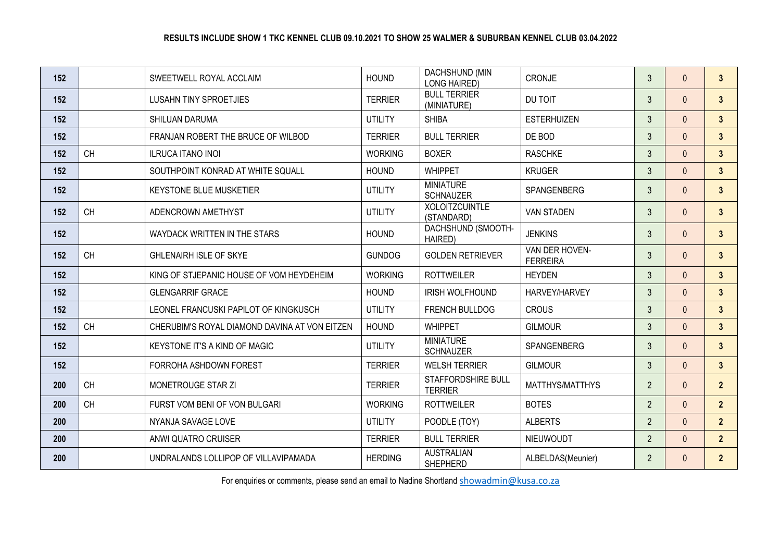| 152 |           | SWEETWELL ROYAL ACCLAIM                       | <b>HOUND</b>   | DACHSHUND (MIN<br><b>LONG HAIRED)</b> | <b>CRONJE</b>                     | 3              | $\Omega$     | $\mathbf{3}$   |
|-----|-----------|-----------------------------------------------|----------------|---------------------------------------|-----------------------------------|----------------|--------------|----------------|
| 152 |           | <b>LUSAHN TINY SPROETJIES</b>                 | <b>TERRIER</b> | <b>BULL TERRIER</b><br>(MINIATURE)    | DU TOIT                           | $\mathbf{3}$   | $\Omega$     | $\mathbf{3}$   |
| 152 |           | <b>SHILUAN DARUMA</b>                         | <b>UTILITY</b> | <b>SHIBA</b>                          | <b>ESTERHUIZEN</b>                | $\mathbf{3}$   | $\Omega$     | $\mathbf{3}$   |
| 152 |           | FRANJAN ROBERT THE BRUCE OF WILBOD            | <b>TERRIER</b> | <b>BULL TERRIER</b>                   | DE BOD                            | $\mathfrak{Z}$ | $\mathbf{0}$ | $\overline{3}$ |
| 152 | <b>CH</b> | <b>ILRUCA ITANO INOI</b>                      | <b>WORKING</b> | <b>BOXER</b>                          | <b>RASCHKE</b>                    | $\mathfrak{Z}$ | $\Omega$     | $\mathbf{3}$   |
| 152 |           | SOUTHPOINT KONRAD AT WHITE SQUALL             | <b>HOUND</b>   | <b>WHIPPET</b>                        | <b>KRUGER</b>                     | $\mathfrak{Z}$ | $\Omega$     | 3 <sup>1</sup> |
| 152 |           | <b>KEYSTONE BLUE MUSKETIER</b>                | <b>UTILITY</b> | <b>MINIATURE</b><br><b>SCHNAUZER</b>  | SPANGENBERG                       | $\mathfrak{Z}$ | $\Omega$     | $\mathbf{3}$   |
| 152 | <b>CH</b> | ADENCROWN AMETHYST                            | <b>UTILITY</b> | <b>XOLOITZCUINTLE</b><br>(STANDARD)   | <b>VAN STADEN</b>                 | $\mathfrak{Z}$ | $\mathbf{0}$ | $\mathbf{3}$   |
| 152 |           | WAYDACK WRITTEN IN THE STARS                  | <b>HOUND</b>   | DACHSHUND (SMOOTH-<br>HAIRED)         | <b>JENKINS</b>                    | $\mathfrak{Z}$ | $\mathbf{0}$ | $\mathbf{3}$   |
| 152 | <b>CH</b> | <b>GHLENAIRH ISLE OF SKYE</b>                 | <b>GUNDOG</b>  | <b>GOLDEN RETRIEVER</b>               | VAN DER HOVEN-<br><b>FERREIRA</b> | $\mathfrak{Z}$ | $\Omega$     | $\mathbf{3}$   |
| 152 |           | KING OF STJEPANIC HOUSE OF VOM HEYDEHEIM      | <b>WORKING</b> | <b>ROTTWEILER</b>                     | <b>HEYDEN</b>                     | $\mathfrak{Z}$ | $\Omega$     | $\overline{3}$ |
| 152 |           | <b>GLENGARRIF GRACE</b>                       | <b>HOUND</b>   | IRISH WOLFHOUND                       | HARVEY/HARVEY                     | $\mathfrak{Z}$ | $\Omega$     | 3 <sup>1</sup> |
| 152 |           | LEONEL FRANCUSKI PAPILOT OF KINGKUSCH         | <b>UTILITY</b> | FRENCH BULLDOG                        | <b>CROUS</b>                      | $\mathfrak{Z}$ | $\Omega$     | $\mathbf{3}$   |
| 152 | <b>CH</b> | CHERUBIM'S ROYAL DIAMOND DAVINA AT VON EITZEN | <b>HOUND</b>   | <b>WHIPPET</b>                        | <b>GILMOUR</b>                    | $\mathfrak{Z}$ | $\Omega$     | $\mathbf{3}$   |
| 152 |           | KEYSTONE IT'S A KIND OF MAGIC                 | <b>UTILITY</b> | <b>MINIATURE</b><br><b>SCHNAUZER</b>  | SPANGENBERG                       | $\mathfrak{Z}$ | $\mathbf{0}$ | $\mathbf{3}$   |
| 152 |           | FORROHA ASHDOWN FOREST                        | <b>TERRIER</b> | <b>WELSH TERRIER</b>                  | <b>GILMOUR</b>                    | $\mathfrak{Z}$ | $\Omega$     | $\overline{3}$ |
| 200 | <b>CH</b> | MONETROUGE STAR ZI                            | <b>TERRIER</b> | STAFFORDSHIRE BULL<br><b>TERRIER</b>  | MATTHYS/MATTHYS                   | $\overline{2}$ | $\Omega$     | $\overline{2}$ |
| 200 | <b>CH</b> | FURST VOM BENI OF VON BULGARI                 | <b>WORKING</b> | <b>ROTTWEILER</b>                     | <b>BOTES</b>                      | $\overline{2}$ | $\Omega$     | $\overline{2}$ |
| 200 |           | NYANJA SAVAGE LOVE                            | <b>UTILITY</b> | POODLE (TOY)                          | <b>ALBERTS</b>                    | $\overline{2}$ | $\mathbf{0}$ | 2 <sup>1</sup> |
| 200 |           | ANWI QUATRO CRUISER                           | <b>TERRIER</b> | <b>BULL TERRIER</b>                   | <b>NIEUWOUDT</b>                  | $\overline{2}$ | $\Omega$     | $\overline{2}$ |
| 200 |           | UNDRALANDS LOLLIPOP OF VILLAVIPAMADA          | <b>HERDING</b> | <b>AUSTRALIAN</b><br><b>SHEPHERD</b>  | ALBELDAS(Meunier)                 | $\overline{2}$ | $\Omega$     | 2 <sup>2</sup> |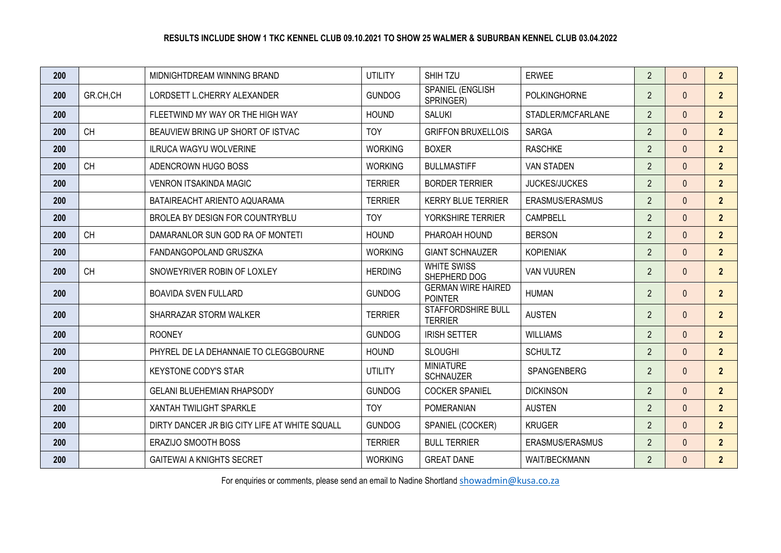| 200 |           | MIDNIGHTDREAM WINNING BRAND                   | <b>UTILITY</b> | SHIH TZU                                    | <b>ERWEE</b>         | $\overline{2}$ | $\Omega$     | $\overline{2}$ |
|-----|-----------|-----------------------------------------------|----------------|---------------------------------------------|----------------------|----------------|--------------|----------------|
| 200 | GR.CH.CH  | LORDSETT L.CHERRY ALEXANDER                   | <b>GUNDOG</b>  | SPANIEL (ENGLISH<br>SPRINGER)               | <b>POLKINGHORNE</b>  | $\overline{2}$ | $\Omega$     | 2 <sup>2</sup> |
| 200 |           | FLEETWIND MY WAY OR THE HIGH WAY              | <b>HOUND</b>   | <b>SALUKI</b>                               | STADLER/MCFARLANE    | $\overline{2}$ | $\Omega$     | $\overline{2}$ |
| 200 | <b>CH</b> | BEAUVIEW BRING UP SHORT OF ISTVAC             | <b>TOY</b>     | <b>GRIFFON BRUXELLOIS</b>                   | <b>SARGA</b>         | $\overline{2}$ | $\Omega$     | $\overline{2}$ |
| 200 |           | <b>ILRUCA WAGYU WOLVERINE</b>                 | <b>WORKING</b> | <b>BOXER</b>                                | <b>RASCHKE</b>       | $\overline{2}$ | $\Omega$     | 2 <sup>2</sup> |
| 200 | <b>CH</b> | ADENCROWN HUGO BOSS                           | <b>WORKING</b> | <b>BULLMASTIFF</b>                          | <b>VAN STADEN</b>    | $\overline{2}$ | $\mathbf{0}$ | 2 <sup>2</sup> |
| 200 |           | <b>VENRON ITSAKINDA MAGIC</b>                 | <b>TERRIER</b> | <b>BORDER TERRIER</b>                       | <b>JUCKES/JUCKES</b> | $\overline{2}$ | $\Omega$     | $\overline{2}$ |
| 200 |           | BATAIREACHT ARIENTO AQUARAMA                  | <b>TERRIER</b> | <b>KERRY BLUE TERRIER</b>                   | ERASMUS/ERASMUS      | $\overline{2}$ | $\Omega$     | $\overline{2}$ |
| 200 |           | BROLEA BY DESIGN FOR COUNTRYBLU               | <b>TOY</b>     | YORKSHIRE TERRIER                           | <b>CAMPBELL</b>      | $\overline{2}$ | $\Omega$     | $\overline{2}$ |
| 200 | <b>CH</b> | DAMARANLOR SUN GOD RA OF MONTETI              | <b>HOUND</b>   | PHAROAH HOUND                               | <b>BERSON</b>        | $\overline{2}$ | $\Omega$     | 2 <sup>2</sup> |
| 200 |           | FANDANGOPOLAND GRUSZKA                        | <b>WORKING</b> | <b>GIANT SCHNAUZER</b>                      | <b>KOPIENIAK</b>     | $\overline{2}$ | $\mathbf{0}$ | 2 <sup>2</sup> |
| 200 | <b>CH</b> | SNOWEYRIVER ROBIN OF LOXLEY                   | <b>HERDING</b> | <b>WHITE SWISS</b><br>SHEPHERD DOG          | <b>VAN VUUREN</b>    | $\overline{2}$ | $\mathbf{0}$ | $\overline{2}$ |
| 200 |           | <b>BOAVIDA SVEN FULLARD</b>                   | <b>GUNDOG</b>  | <b>GERMAN WIRE HAIRED</b><br><b>POINTER</b> | <b>HUMAN</b>         | $\overline{2}$ | $\mathbf{0}$ | $\overline{2}$ |
| 200 |           | SHARRAZAR STORM WALKER                        | <b>TERRIER</b> | STAFFORDSHIRE BULL<br><b>TERRIER</b>        | <b>AUSTEN</b>        | $\overline{2}$ | $\Omega$     | $\overline{2}$ |
| 200 |           | <b>ROONEY</b>                                 | <b>GUNDOG</b>  | <b>IRISH SETTER</b>                         | <b>WILLIAMS</b>      | $\overline{2}$ | $\Omega$     | 2 <sup>2</sup> |
| 200 |           | PHYREL DE LA DEHANNAIE TO CLEGGBOURNE         | <b>HOUND</b>   | <b>SLOUGHI</b>                              | <b>SCHULTZ</b>       | $\overline{2}$ | $\Omega$     | $\overline{2}$ |
| 200 |           | <b>KEYSTONE CODY'S STAR</b>                   | <b>UTILITY</b> | <b>MINIATURE</b><br><b>SCHNAUZER</b>        | <b>SPANGENBERG</b>   | $\overline{2}$ | $\Omega$     | $\overline{2}$ |
| 200 |           | <b>GELANI BLUEHEMIAN RHAPSODY</b>             | <b>GUNDOG</b>  | <b>COCKER SPANIEL</b>                       | <b>DICKINSON</b>     | $\overline{2}$ | $\Omega$     | 2 <sup>2</sup> |
| 200 |           | XANTAH TWILIGHT SPARKLE                       | <b>TOY</b>     | <b>POMERANIAN</b>                           | <b>AUSTEN</b>        | $\overline{2}$ | $\Omega$     | $\overline{2}$ |
| 200 |           | DIRTY DANCER JR BIG CITY LIFE AT WHITE SQUALL | <b>GUNDOG</b>  | SPANIEL (COCKER)                            | <b>KRUGER</b>        | $\overline{2}$ | $\mathbf{0}$ | 2 <sup>2</sup> |
| 200 |           | ERAZIJO SMOOTH BOSS                           | <b>TERRIER</b> | <b>BULL TERRIER</b>                         | ERASMUS/ERASMUS      | $\overline{2}$ | $\Omega$     | 2 <sup>2</sup> |
| 200 |           | <b>GAITEWAI A KNIGHTS SECRET</b>              | <b>WORKING</b> | <b>GREAT DANE</b>                           | <b>WAIT/BECKMANN</b> | $\overline{2}$ | $\Omega$     | $\overline{2}$ |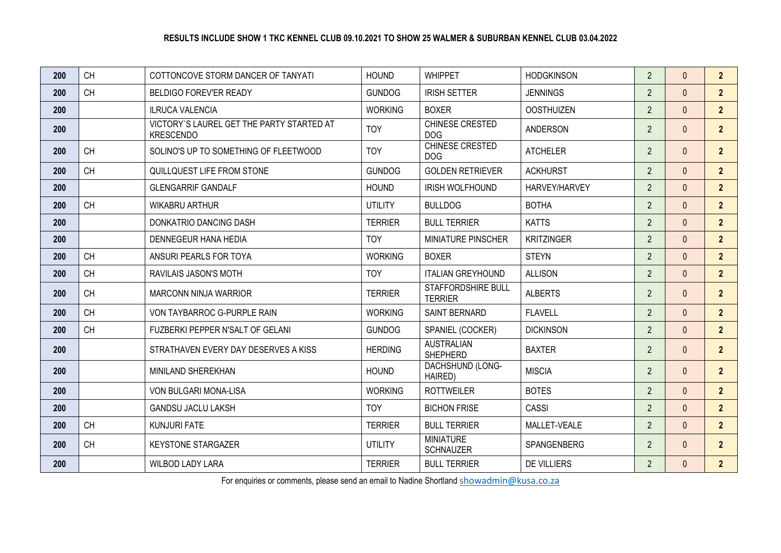| 200 | <b>CH</b> | COTTONCOVE STORM DANCER OF TANYATI                            | <b>HOUND</b>   | <b>WHIPPET</b>                       | <b>HODGKINSON</b>  | $\overline{2}$ | $\mathbf{0}$ | 2 <sup>2</sup> |
|-----|-----------|---------------------------------------------------------------|----------------|--------------------------------------|--------------------|----------------|--------------|----------------|
| 200 | <b>CH</b> | <b>BELDIGO FOREV'ER READY</b>                                 | <b>GUNDOG</b>  | <b>IRISH SETTER</b>                  | <b>JENNINGS</b>    | $\overline{2}$ | $\Omega$     | 2 <sup>2</sup> |
| 200 |           | <b>ILRUCA VALENCIA</b>                                        | <b>WORKING</b> | <b>BOXER</b>                         | <b>OOSTHUIZEN</b>  | $\overline{2}$ | $\mathbf{0}$ | $\overline{2}$ |
| 200 |           | VICTORY'S LAUREL GET THE PARTY STARTED AT<br><b>KRESCENDO</b> | <b>TOY</b>     | CHINESE CRESTED<br><b>DOG</b>        | <b>ANDERSON</b>    | $\overline{2}$ | $\Omega$     | $\overline{2}$ |
| 200 | <b>CH</b> | SOLINO'S UP TO SOMETHING OF FLEETWOOD                         | <b>TOY</b>     | CHINESE CRESTED<br><b>DOG</b>        | <b>ATCHELER</b>    | $\overline{2}$ | $\Omega$     | $\overline{2}$ |
| 200 | <b>CH</b> | QUILLQUEST LIFE FROM STONE                                    | <b>GUNDOG</b>  | <b>GOLDEN RETRIEVER</b>              | <b>ACKHURST</b>    | $\overline{2}$ | $\Omega$     | 2 <sup>2</sup> |
| 200 |           | <b>GLENGARRIF GANDALF</b>                                     | <b>HOUND</b>   | <b>IRISH WOLFHOUND</b>               | HARVEY/HARVEY      | $\overline{2}$ | $\Omega$     | 2 <sup>1</sup> |
| 200 | <b>CH</b> | <b>WIKABRU ARTHUR</b>                                         | <b>UTILITY</b> | <b>BULLDOG</b>                       | <b>BOTHA</b>       | $\overline{2}$ | $\Omega$     | $\overline{2}$ |
| 200 |           | DONKATRIO DANCING DASH                                        | <b>TERRIER</b> | <b>BULL TERRIER</b>                  | <b>KATTS</b>       | $\overline{2}$ | $\mathbf{0}$ | 2 <sup>2</sup> |
| 200 |           | <b>DENNEGEUR HANA HEDIA</b>                                   | <b>TOY</b>     | MINIATURE PINSCHER                   | <b>KRITZINGER</b>  | $\overline{2}$ | $\Omega$     | $\overline{2}$ |
| 200 | <b>CH</b> | ANSURI PEARLS FOR TOYA                                        | <b>WORKING</b> | <b>BOXER</b>                         | <b>STEYN</b>       | $\overline{2}$ | $\Omega$     | $\overline{2}$ |
| 200 | <b>CH</b> | RAVILAIS JASON'S MOTH                                         | <b>TOY</b>     | <b>ITALIAN GREYHOUND</b>             | <b>ALLISON</b>     | $\overline{2}$ | $\Omega$     | $\overline{2}$ |
| 200 | <b>CH</b> | <b>MARCONN NINJA WARRIOR</b>                                  | <b>TERRIER</b> | STAFFORDSHIRE BULL<br><b>TERRIER</b> | <b>ALBERTS</b>     | $\overline{2}$ | $\mathbf{0}$ | 2 <sup>2</sup> |
| 200 | <b>CH</b> | VON TAYBARROC G-PURPLE RAIN                                   | <b>WORKING</b> | SAINT BERNARD                        | <b>FLAVELL</b>     | $\overline{2}$ | $\Omega$     | 2 <sup>2</sup> |
| 200 | <b>CH</b> | FUZBERKI PEPPER N'SALT OF GELANI                              | <b>GUNDOG</b>  | SPANIEL (COCKER)                     | <b>DICKINSON</b>   | $\overline{2}$ | $\mathbf{0}$ | 2 <sup>2</sup> |
| 200 |           | STRATHAVEN EVERY DAY DESERVES A KISS                          | <b>HERDING</b> | <b>AUSTRALIAN</b><br><b>SHEPHERD</b> | <b>BAXTER</b>      | $\overline{2}$ | $\Omega$     | $\overline{2}$ |
| 200 |           | <b>MINILAND SHEREKHAN</b>                                     | <b>HOUND</b>   | DACHSHUND (LONG-<br>HAIRED)          | <b>MISCIA</b>      | $\overline{2}$ | $\mathbf{0}$ | $\overline{2}$ |
| 200 |           | VON BULGARI MONA-LISA                                         | <b>WORKING</b> | <b>ROTTWEILER</b>                    | <b>BOTES</b>       | $\overline{2}$ | $\Omega$     | 2 <sup>2</sup> |
| 200 |           | <b>GANDSU JACLU LAKSH</b>                                     | <b>TOY</b>     | <b>BICHON FRISE</b>                  | CASSI              | $\overline{2}$ | $\mathbf{0}$ | 2 <sup>2</sup> |
| 200 | <b>CH</b> | <b>KUNJURI FATE</b>                                           | <b>TERRIER</b> | <b>BULL TERRIER</b>                  | MALLET-VEALE       | $\overline{2}$ | $\Omega$     | $\overline{2}$ |
| 200 | <b>CH</b> | <b>KEYSTONE STARGAZER</b>                                     | <b>UTILITY</b> | <b>MINIATURE</b><br><b>SCHNAUZER</b> | SPANGENBERG        | $\overline{2}$ | $\mathbf{0}$ | 2 <sup>2</sup> |
| 200 |           | <b>WILBOD LADY LARA</b>                                       | <b>TERRIER</b> | <b>BULL TERRIER</b>                  | <b>DE VILLIERS</b> | $\overline{2}$ | $\Omega$     | 2 <sup>2</sup> |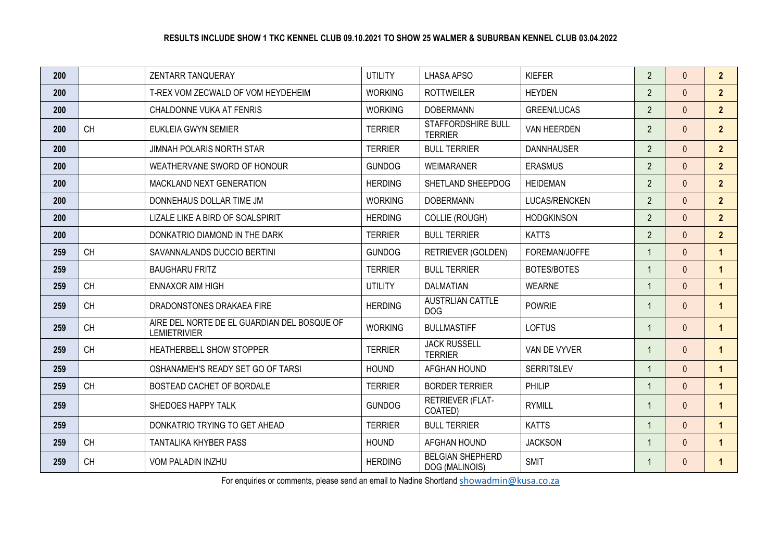| 200 |           | ZENTARR TANQUERAY                                                  | <b>UTILITY</b> | <b>LHASA APSO</b>                         | <b>KIEFER</b>      | $\overline{2}$ | $\Omega$     | $\overline{2}$       |
|-----|-----------|--------------------------------------------------------------------|----------------|-------------------------------------------|--------------------|----------------|--------------|----------------------|
| 200 |           | T-REX VOM ZECWALD OF VOM HEYDEHEIM                                 | <b>WORKING</b> | <b>ROTTWEILER</b>                         | <b>HEYDEN</b>      | $\overline{2}$ | $\Omega$     | 2 <sup>1</sup>       |
| 200 |           | CHALDONNE VUKA AT FENRIS                                           | <b>WORKING</b> | <b>DOBERMANN</b>                          | <b>GREEN/LUCAS</b> | $\overline{2}$ | $\Omega$     | $\overline{2}$       |
| 200 | <b>CH</b> | EUKLEIA GWYN SEMIER                                                | <b>TERRIER</b> | STAFFORDSHIRE BULL<br><b>TERRIER</b>      | VAN HEERDEN        | $\overline{2}$ | $\Omega$     | $\overline{2}$       |
| 200 |           | <b>JIMNAH POLARIS NORTH STAR</b>                                   | <b>TERRIER</b> | <b>BULL TERRIER</b>                       | <b>DANNHAUSER</b>  | $\overline{2}$ | $\Omega$     | $\overline{2}$       |
| 200 |           | WEATHERVANE SWORD OF HONOUR                                        | <b>GUNDOG</b>  | <b>WEIMARANER</b>                         | <b>ERASMUS</b>     | $\overline{2}$ | $\Omega$     | 2 <sup>2</sup>       |
| 200 |           | MACKLAND NEXT GENERATION                                           | <b>HERDING</b> | SHETLAND SHEEPDOG                         | <b>HEIDEMAN</b>    | $\overline{2}$ | $\Omega$     | 2 <sup>2</sup>       |
| 200 |           | DONNEHAUS DOLLAR TIME JM                                           | <b>WORKING</b> | <b>DOBERMANN</b>                          | LUCAS/RENCKEN      | $\overline{2}$ | $\Omega$     | $\overline{2}$       |
| 200 |           | LIZALE LIKE A BIRD OF SOALSPIRIT                                   | <b>HERDING</b> | <b>COLLIE (ROUGH)</b>                     | <b>HODGKINSON</b>  | $\overline{2}$ | $\Omega$     | 2 <sup>2</sup>       |
| 200 |           | DONKATRIO DIAMOND IN THE DARK                                      | <b>TERRIER</b> | <b>BULL TERRIER</b>                       | <b>KATTS</b>       | $\overline{2}$ | $\Omega$     | 2 <sup>2</sup>       |
| 259 | <b>CH</b> | SAVANNALANDS DUCCIO BERTINI                                        | <b>GUNDOG</b>  | RETRIEVER (GOLDEN)                        | FOREMAN/JOFFE      | $\mathbf{1}$   | $\mathbf{0}$ | $\blacktriangleleft$ |
| 259 |           | <b>BAUGHARU FRITZ</b>                                              | <b>TERRIER</b> | <b>BULL TERRIER</b>                       | <b>BOTES/BOTES</b> | $\mathbf{1}$   | $\Omega$     | $\overline{1}$       |
| 259 | <b>CH</b> | ENNAXOR AIM HIGH                                                   | <b>UTILITY</b> | <b>DALMATIAN</b>                          | <b>WEARNE</b>      | $\mathbf{1}$   | $\mathbf{0}$ | $\mathbf{1}$         |
| 259 | <b>CH</b> | DRADONSTONES DRAKAEA FIRE                                          | <b>HERDING</b> | <b>AUSTRLIAN CATTLE</b><br><b>DOG</b>     | <b>POWRIE</b>      | $\mathbf{1}$   | $\mathbf{0}$ | $\overline{1}$       |
| 259 | <b>CH</b> | AIRE DEL NORTE DE EL GUARDIAN DEL BOSQUE OF<br><b>LEMIETRIVIER</b> | <b>WORKING</b> | <b>BULLMASTIFF</b>                        | <b>LOFTUS</b>      | $\mathbf{1}$   | $\mathbf{0}$ | $\overline{1}$       |
| 259 | <b>CH</b> | HEATHERBELL SHOW STOPPER                                           | <b>TERRIER</b> | <b>JACK RUSSELL</b><br><b>TERRIER</b>     | VAN DE VYVER       | $\mathbf{1}$   | $\mathbf{0}$ | $\overline{1}$       |
| 259 |           | OSHANAMEH'S READY SET GO OF TARSI                                  | <b>HOUND</b>   | AFGHAN HOUND                              | <b>SERRITSLEV</b>  | $\mathbf{1}$   | $\Omega$     | $\overline{1}$       |
| 259 | <b>CH</b> | BOSTEAD CACHET OF BORDALE                                          | <b>TERRIER</b> | <b>BORDER TERRIER</b>                     | PHILIP             | $\mathbf{1}$   | $\Omega$     | $\mathbf{1}$         |
| 259 |           | SHEDOES HAPPY TALK                                                 | <b>GUNDOG</b>  | RETRIEVER (FLAT-<br>COATED)               | <b>RYMILL</b>      | $\mathbf{1}$   | $\Omega$     | $\blacktriangleleft$ |
| 259 |           | DONKATRIO TRYING TO GET AHEAD                                      | <b>TERRIER</b> | <b>BULL TERRIER</b>                       | <b>KATTS</b>       | $\mathbf{1}$   | $\mathbf{0}$ | $\overline{1}$       |
| 259 | CH        | TANTALIKA KHYBER PASS                                              | <b>HOUND</b>   | AFGHAN HOUND                              | <b>JACKSON</b>     | $\mathbf{1}$   | $\Omega$     | $\blacktriangleleft$ |
| 259 | <b>CH</b> | VOM PALADIN INZHU                                                  | <b>HERDING</b> | <b>BELGIAN SHEPHERD</b><br>DOG (MALINOIS) | <b>SMIT</b>        | $\mathbf{1}$   | $\Omega$     | $\blacktriangleleft$ |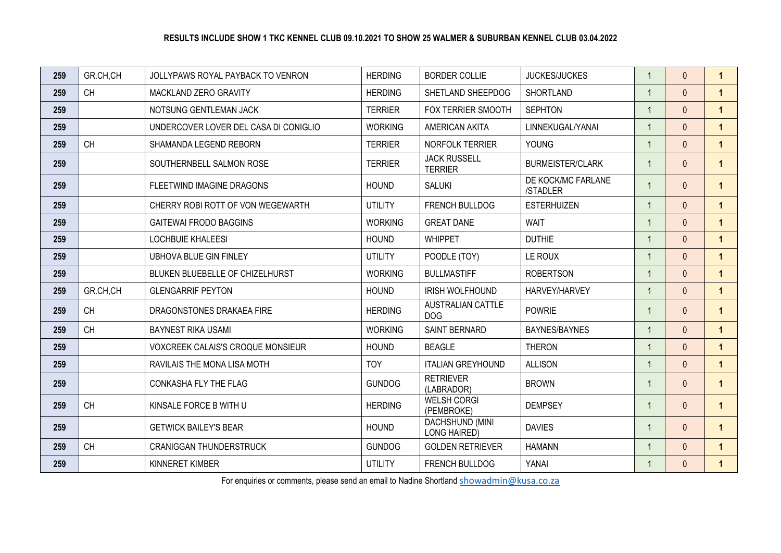| 259 | GR.CH,CH  | JOLLYPAWS ROYAL PAYBACK TO VENRON     | <b>HERDING</b> | <b>BORDER COLLIE</b>                   | <b>JUCKES/JUCKES</b>           | $\mathbf{1}$   | $\Omega$     | $\mathbf{1}$         |
|-----|-----------|---------------------------------------|----------------|----------------------------------------|--------------------------------|----------------|--------------|----------------------|
| 259 | <b>CH</b> | MACKLAND ZERO GRAVITY                 | <b>HERDING</b> | SHETLAND SHEEPDOG                      | <b>SHORTLAND</b>               | $\mathbf{1}$   | $\Omega$     | $\mathbf{1}$         |
| 259 |           | NOTSUNG GENTLEMAN JACK                | <b>TERRIER</b> | FOX TERRIER SMOOTH                     | <b>SEPHTON</b>                 | $\mathbf{1}$   | $\Omega$     | $\mathbf{1}$         |
| 259 |           | UNDERCOVER LOVER DEL CASA DI CONIGLIO | <b>WORKING</b> | AMERICAN AKITA                         | LINNEKUGAL/YANAI               | $\mathbf{1}$   | $\Omega$     | $\blacktriangleleft$ |
| 259 | <b>CH</b> | SHAMANDA LEGEND REBORN                | <b>TERRIER</b> | NORFOLK TERRIER                        | <b>YOUNG</b>                   | $\mathbf{1}$   | $\Omega$     | $\mathbf{1}$         |
| 259 |           | SOUTHERNBELL SALMON ROSE              | <b>TERRIER</b> | <b>JACK RUSSELL</b><br><b>TERRIER</b>  | <b>BURMEISTER/CLARK</b>        | $\mathbf{1}$   | $\mathbf{0}$ | $\mathbf{1}$         |
| 259 |           | FLEETWIND IMAGINE DRAGONS             | <b>HOUND</b>   | <b>SALUKI</b>                          | DE KOCK/MC FARLANE<br>/STADLER | $\mathbf{1}$   | $\Omega$     | $\mathbf{1}$         |
| 259 |           | CHERRY ROBI ROTT OF VON WEGEWARTH     | <b>UTILITY</b> | FRENCH BULLDOG                         | <b>ESTERHUIZEN</b>             |                | $\Omega$     | $\mathbf{1}$         |
| 259 |           | <b>GAITEWAI FRODO BAGGINS</b>         | <b>WORKING</b> | <b>GREAT DANE</b>                      | <b>WAIT</b>                    | $\mathbf{1}$   | $\Omega$     | $\mathbf{1}$         |
| 259 |           | <b>LOCHBUIE KHALEESI</b>              | <b>HOUND</b>   | <b>WHIPPET</b>                         | <b>DUTHIE</b>                  | $\mathbf{1}$   | $\Omega$     | $\mathbf{1}$         |
| 259 |           | <b>UBHOVA BLUE GIN FINLEY</b>         | <b>UTILITY</b> | POODLE (TOY)                           | LE ROUX                        | $\overline{1}$ | $\Omega$     | $\mathbf{1}$         |
| 259 |           | BLUKEN BLUEBELLE OF CHIZELHURST       | <b>WORKING</b> | <b>BULLMASTIFF</b>                     | <b>ROBERTSON</b>               | $\mathbf{1}$   | $\Omega$     | $\blacktriangleleft$ |
| 259 | GR.CH,CH  | <b>GLENGARRIF PEYTON</b>              | <b>HOUND</b>   | <b>IRISH WOLFHOUND</b>                 | HARVEY/HARVEY                  | $\mathbf{1}$   | $\Omega$     | $\mathbf{1}$         |
| 259 | <b>CH</b> | DRAGONSTONES DRAKAEA FIRE             | <b>HERDING</b> | <b>AUSTRALIAN CATTLE</b><br><b>DOG</b> | <b>POWRIE</b>                  | $\mathbf{1}$   | $\mathbf{0}$ | $\mathbf{1}$         |
| 259 | <b>CH</b> | <b>BAYNEST RIKA USAMI</b>             | <b>WORKING</b> | SAINT BERNARD                          | BAYNES/BAYNES                  | $\mathbf{1}$   | $\Omega$     | $\mathbf{1}$         |
| 259 |           | VOXCREEK CALAIS'S CROQUE MONSIEUR     | <b>HOUND</b>   | <b>BEAGLE</b>                          | <b>THERON</b>                  | $\overline{1}$ | $\Omega$     | $\mathbf{1}$         |
| 259 |           | RAVILAIS THE MONA LISA MOTH           | <b>TOY</b>     | <b>ITALIAN GREYHOUND</b>               | <b>ALLISON</b>                 | $\mathbf{1}$   | $\Omega$     | $\mathbf{1}$         |
| 259 |           | CONKASHA FLY THE FLAG                 | <b>GUNDOG</b>  | <b>RETRIEVER</b><br>(LABRADOR)         | <b>BROWN</b>                   | $\mathbf{1}$   | $\Omega$     | $\mathbf{1}$         |
| 259 | <b>CH</b> | KINSALE FORCE B WITH U                | <b>HERDING</b> | <b>WELSH CORGI</b><br>(PEMBROKE)       | <b>DEMPSEY</b>                 | $\mathbf{1}$   | $\Omega$     | $\mathbf{1}$         |
| 259 |           | <b>GETWICK BAILEY'S BEAR</b>          | <b>HOUND</b>   | DACHSHUND (MINI<br><b>LONG HAIRED)</b> | <b>DAVIES</b>                  | $\mathbf{1}$   | $\Omega$     | $\mathbf{1}$         |
| 259 | <b>CH</b> | <b>CRANIGGAN THUNDERSTRUCK</b>        | <b>GUNDOG</b>  | <b>GOLDEN RETRIEVER</b>                | <b>HAMANN</b>                  | $\mathbf{1}$   | $\Omega$     | $\mathbf{1}$         |
| 259 |           | KINNERET KIMBER                       | <b>UTILITY</b> | FRENCH BULLDOG                         | YANAI                          | $\overline{1}$ | $\Omega$     | $\mathbf{1}$         |